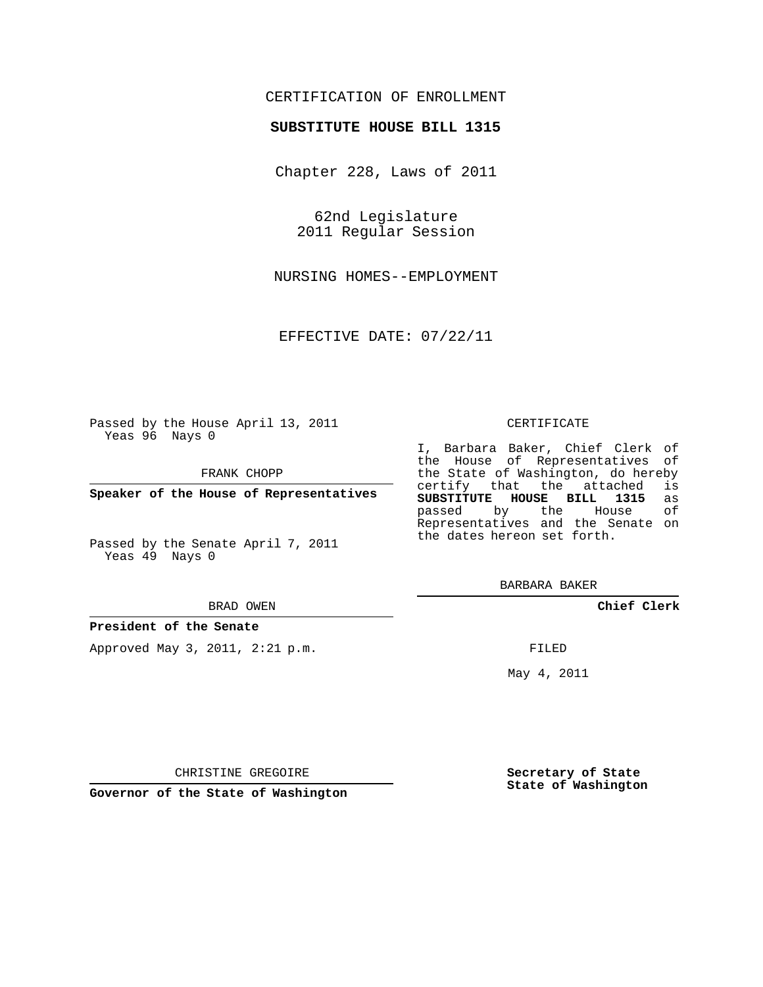# CERTIFICATION OF ENROLLMENT

### **SUBSTITUTE HOUSE BILL 1315**

Chapter 228, Laws of 2011

62nd Legislature 2011 Regular Session

NURSING HOMES--EMPLOYMENT

EFFECTIVE DATE: 07/22/11

Passed by the House April 13, 2011 Yeas 96 Nays 0

FRANK CHOPP

**Speaker of the House of Representatives**

Passed by the Senate April 7, 2011 Yeas 49 Nays 0

#### BRAD OWEN

#### **President of the Senate**

Approved May 3, 2011, 2:21 p.m.

#### CERTIFICATE

I, Barbara Baker, Chief Clerk of the House of Representatives of the State of Washington, do hereby<br>certify that the attached is certify that the attached **SUBSTITUTE HOUSE BILL 1315** as passed by the Representatives and the Senate on the dates hereon set forth.

BARBARA BAKER

**Chief Clerk**

FILED

May 4, 2011

**Secretary of State State of Washington**

CHRISTINE GREGOIRE

**Governor of the State of Washington**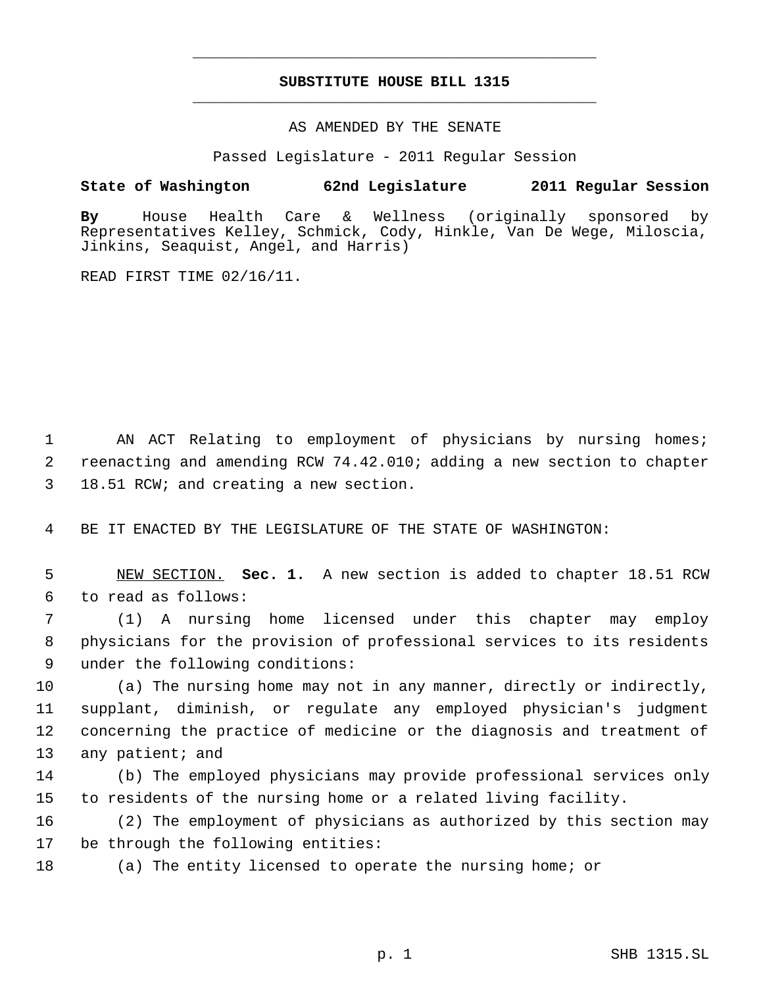# **SUBSTITUTE HOUSE BILL 1315** \_\_\_\_\_\_\_\_\_\_\_\_\_\_\_\_\_\_\_\_\_\_\_\_\_\_\_\_\_\_\_\_\_\_\_\_\_\_\_\_\_\_\_\_\_

\_\_\_\_\_\_\_\_\_\_\_\_\_\_\_\_\_\_\_\_\_\_\_\_\_\_\_\_\_\_\_\_\_\_\_\_\_\_\_\_\_\_\_\_\_

### AS AMENDED BY THE SENATE

Passed Legislature - 2011 Regular Session

## **State of Washington 62nd Legislature 2011 Regular Session**

**By** House Health Care & Wellness (originally sponsored by Representatives Kelley, Schmick, Cody, Hinkle, Van De Wege, Miloscia, Jinkins, Seaquist, Angel, and Harris)

READ FIRST TIME 02/16/11.

 1 AN ACT Relating to employment of physicians by nursing homes; 2 reenacting and amending RCW 74.42.010; adding a new section to chapter 3 18.51 RCW; and creating a new section.

4 BE IT ENACTED BY THE LEGISLATURE OF THE STATE OF WASHINGTON:

 5 NEW SECTION. **Sec. 1.** A new section is added to chapter 18.51 RCW 6 to read as follows:

 7 (1) A nursing home licensed under this chapter may employ 8 physicians for the provision of professional services to its residents 9 under the following conditions:

 (a) The nursing home may not in any manner, directly or indirectly, supplant, diminish, or regulate any employed physician's judgment concerning the practice of medicine or the diagnosis and treatment of 13 any patient; and

14 (b) The employed physicians may provide professional services only 15 to residents of the nursing home or a related living facility.

16 (2) The employment of physicians as authorized by this section may 17 be through the following entities:

18 (a) The entity licensed to operate the nursing home; or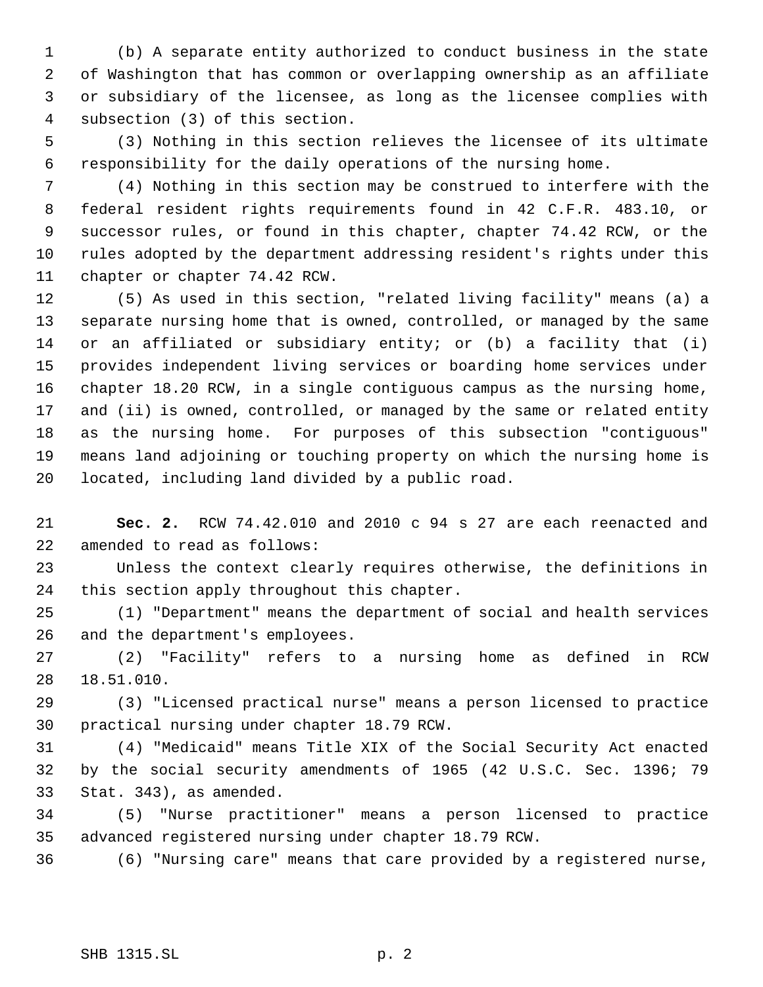(b) A separate entity authorized to conduct business in the state of Washington that has common or overlapping ownership as an affiliate or subsidiary of the licensee, as long as the licensee complies with subsection (3) of this section.

 (3) Nothing in this section relieves the licensee of its ultimate responsibility for the daily operations of the nursing home.

 (4) Nothing in this section may be construed to interfere with the federal resident rights requirements found in 42 C.F.R. 483.10, or successor rules, or found in this chapter, chapter 74.42 RCW, or the rules adopted by the department addressing resident's rights under this chapter or chapter 74.42 RCW.

 (5) As used in this section, "related living facility" means (a) a separate nursing home that is owned, controlled, or managed by the same or an affiliated or subsidiary entity; or (b) a facility that (i) provides independent living services or boarding home services under chapter 18.20 RCW, in a single contiguous campus as the nursing home, and (ii) is owned, controlled, or managed by the same or related entity as the nursing home. For purposes of this subsection "contiguous" means land adjoining or touching property on which the nursing home is located, including land divided by a public road.

 **Sec. 2.** RCW 74.42.010 and 2010 c 94 s 27 are each reenacted and amended to read as follows:

 Unless the context clearly requires otherwise, the definitions in this section apply throughout this chapter.

 (1) "Department" means the department of social and health services and the department's employees.

 (2) "Facility" refers to a nursing home as defined in RCW 18.51.010.

 (3) "Licensed practical nurse" means a person licensed to practice practical nursing under chapter 18.79 RCW.

 (4) "Medicaid" means Title XIX of the Social Security Act enacted by the social security amendments of 1965 (42 U.S.C. Sec. 1396; 79 Stat. 343), as amended.

 (5) "Nurse practitioner" means a person licensed to practice advanced registered nursing under chapter 18.79 RCW.

(6) "Nursing care" means that care provided by a registered nurse,